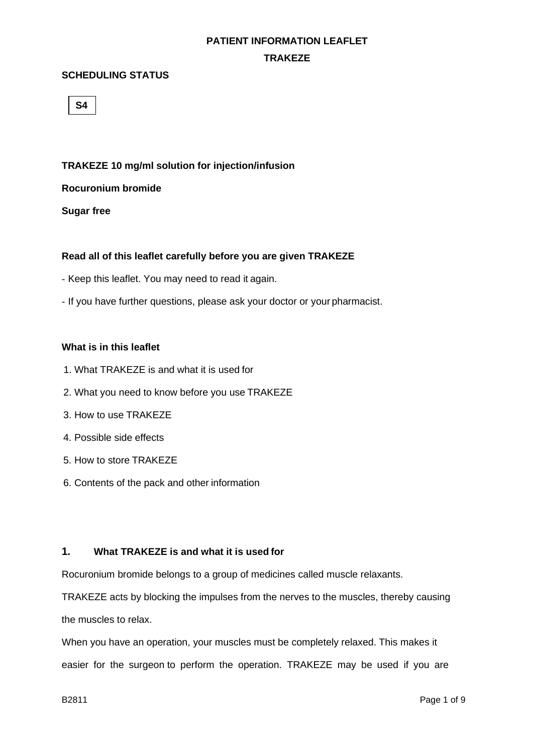#### **TRAKEZE**

#### **SCHEDULING STATUS**

**S4**

#### **TRAKEZE 10 mg/ml solution for injection/infusion**

#### **Rocuronium bromide**

**Sugar free**

#### **Read all of this leaflet carefully before you are given TRAKEZE**

- Keep this leaflet. You may need to read it again.
- If you have further questions, please ask your doctor or your pharmacist.

#### **What is in this leaflet**

- 1. What TRAKEZE is and what it is used for
- 2. What you need to know before you use TRAKEZE
- 3. How to use TRAKEZE
- 4. Possible side effects
- 5. How to store TRAKEZE
- 6. Contents of the pack and other information

#### **1. What TRAKEZE is and what it is used for**

Rocuronium bromide belongs to a group of medicines called muscle relaxants.

TRAKEZE acts by blocking the impulses from the nerves to the muscles, thereby causing the muscles to relax.

When you have an operation, your muscles must be completely relaxed. This makes it easier for the surgeon to perform the operation. TRAKEZE may be used if you are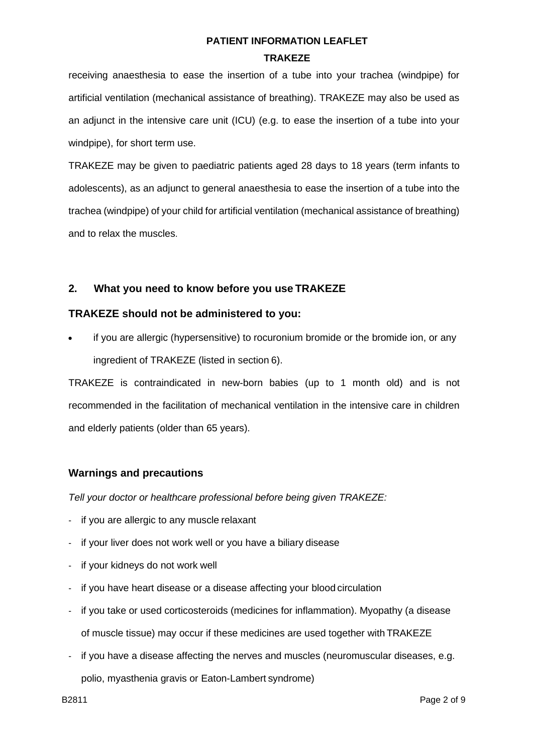# **PATIENT INFORMATION LEAFLET TRAKEZE**

receiving anaesthesia to ease the insertion of a tube into your trachea (windpipe) for artificial ventilation (mechanical assistance of breathing). TRAKEZE may also be used as an adjunct in the intensive care unit (ICU) (e.g. to ease the insertion of a tube into your windpipe), for short term use.

TRAKEZE may be given to paediatric patients aged 28 days to 18 years (term infants to adolescents), as an adjunct to general anaesthesia to ease the insertion of a tube into the trachea (windpipe) of your child for artificial ventilation (mechanical assistance of breathing) and to relax the muscles.

# **2. What you need to know before you use TRAKEZE**

# **TRAKEZE should not be administered to you:**

if you are allergic (hypersensitive) to rocuronium bromide or the bromide ion, or any ingredient of TRAKEZE (listed in section 6).

TRAKEZE is contraindicated in new-born babies (up to 1 month old) and is not recommended in the facilitation of mechanical ventilation in the intensive care in children and elderly patients (older than 65 years).

# **Warnings and precautions**

*Tell your doctor or healthcare professional before being given TRAKEZE:*

- if you are allergic to any muscle relaxant
- if your liver does not work well or you have a biliary disease
- if your kidneys do not work well
- if you have heart disease or a disease affecting your blood circulation
- if you take or used corticosteroids (medicines for inflammation). Myopathy (a disease of muscle tissue) may occur if these medicines are used together with TRAKEZE
- if you have a disease affecting the nerves and muscles (neuromuscular diseases, e.g. polio, myasthenia gravis or Eaton-Lambert syndrome)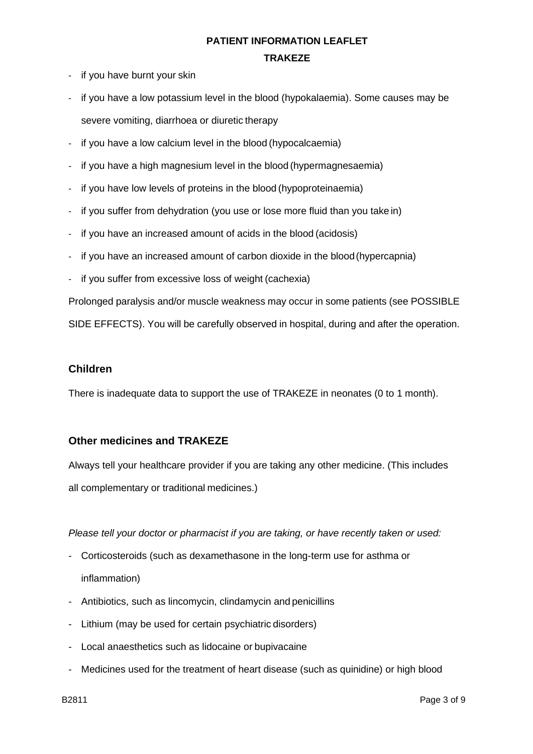#### **TRAKEZE**

- if you have burnt your skin
- if you have a low potassium level in the blood (hypokalaemia). Some causes may be severe vomiting, diarrhoea or diuretic therapy
- if you have a low calcium level in the blood (hypocalcaemia)
- if you have a high magnesium level in the blood (hypermagnesaemia)
- if you have low levels of proteins in the blood (hypoproteinaemia)
- if you suffer from dehydration (you use or lose more fluid than you take in)
- if you have an increased amount of acids in the blood (acidosis)
- if you have an increased amount of carbon dioxide in the blood(hypercapnia)
- if you suffer from excessive loss of weight (cachexia)

Prolonged paralysis and/or muscle weakness may occur in some patients (see POSSIBLE

SIDE EFFECTS). You will be carefully observed in hospital, during and after the operation.

#### **Children**

There is inadequate data to support the use of TRAKEZE in neonates (0 to 1 month).

## **Other medicines and TRAKEZE**

Always tell your healthcare provider if you are taking any other medicine. (This includes all complementary or traditional medicines.)

*Please tell your doctor or pharmacist if you are taking, or have recently taken or used:*

- Corticosteroids (such as dexamethasone in the long-term use for asthma or inflammation)
- Antibiotics, such as lincomycin, clindamycin and penicillins
- Lithium (may be used for certain psychiatric disorders)
- Local anaesthetics such as lidocaine or bupivacaine
- Medicines used for the treatment of heart disease (such as quinidine) or high blood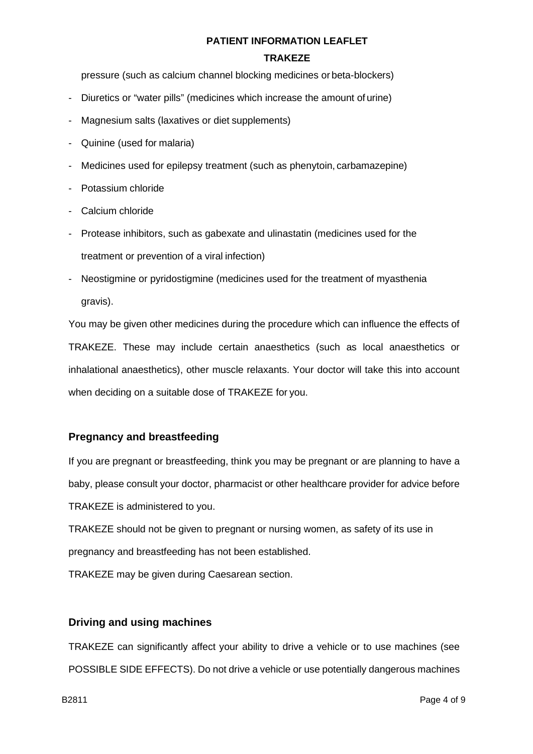#### **TRAKEZE**

pressure (such as calcium channel blocking medicines or beta-blockers)

- Diuretics or "water pills" (medicines which increase the amount of urine)
- Magnesium salts (laxatives or diet supplements)
- Quinine (used for malaria)
- Medicines used for epilepsy treatment (such as phenytoin, carbamazepine)
- Potassium chloride
- Calcium chloride
- Protease inhibitors, such as gabexate and ulinastatin (medicines used for the treatment or prevention of a viral infection)
- Neostigmine or pyridostigmine (medicines used for the treatment of myasthenia gravis).

You may be given other medicines during the procedure which can influence the effects of TRAKEZE. These may include certain anaesthetics (such as local anaesthetics or inhalational anaesthetics), other muscle relaxants. Your doctor will take this into account when deciding on a suitable dose of TRAKEZE for you.

#### **Pregnancy and breastfeeding**

If you are pregnant or breastfeeding, think you may be pregnant or are planning to have a baby, please consult your doctor, pharmacist or other healthcare provider for advice before TRAKEZE is administered to you.

TRAKEZE should not be given to pregnant or nursing women, as safety of its use in pregnancy and breastfeeding has not been established.

TRAKEZE may be given during Caesarean section.

#### **Driving and using machines**

TRAKEZE can significantly affect your ability to drive a vehicle or to use machines (see POSSIBLE SIDE EFFECTS). Do not drive a vehicle or use potentially dangerous machines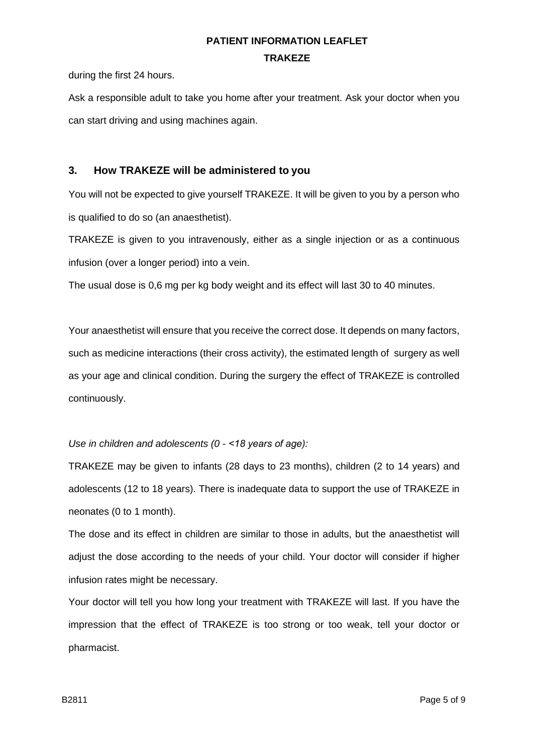# **PATIENT INFORMATION LEAFLET TRAKEZE**

during the first 24 hours.

Ask a responsible adult to take you home after your treatment. Ask your doctor when you can start driving and using machines again.

## **3. How TRAKEZE will be administered to you**

You will not be expected to give yourself TRAKEZE. It will be given to you by a person who is qualified to do so (an anaesthetist).

TRAKEZE is given to you intravenously, either as a single injection or as a continuous infusion (over a longer period) into a vein.

The usual dose is 0,6 mg per kg body weight and its effect will last 30 to 40 minutes.

Your anaesthetist will ensure that you receive the correct dose. It depends on many factors, such as medicine interactions (their cross activity), the estimated length of surgery as well as your age and clinical condition. During the surgery the effect of TRAKEZE is controlled continuously.

#### *Use in children and adolescents (0 - ˂18 years of age):*

TRAKEZE may be given to infants (28 days to 23 months), children (2 to 14 years) and adolescents (12 to 18 years). There is inadequate data to support the use of TRAKEZE in neonates (0 to 1 month).

The dose and its effect in children are similar to those in adults, but the anaesthetist will adjust the dose according to the needs of your child. Your doctor will consider if higher infusion rates might be necessary.

Your doctor will tell you how long your treatment with TRAKEZE will last. If you have the impression that the effect of TRAKEZE is too strong or too weak, tell your doctor or pharmacist.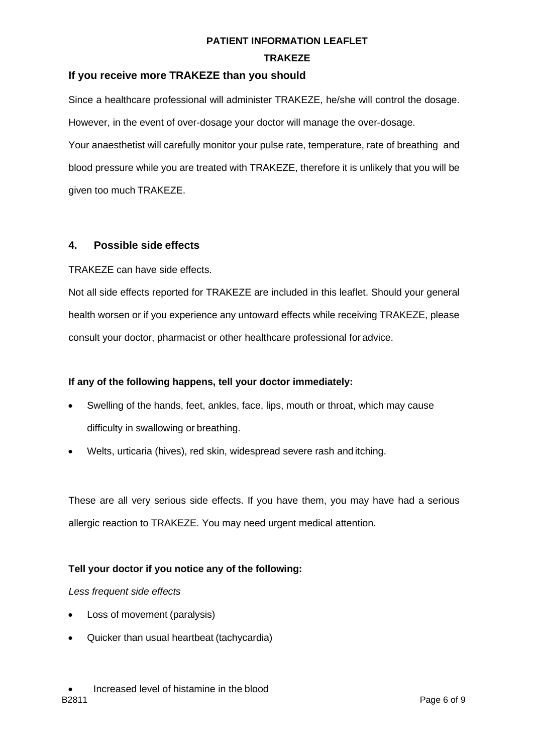#### **TRAKEZE**

## **If you receive more TRAKEZE than you should**

Since a healthcare professional will administer TRAKEZE, he/she will control the dosage. However, in the event of over-dosage your doctor will manage the over-dosage. Your anaesthetist will carefully monitor your pulse rate, temperature, rate of breathing and blood pressure while you are treated with TRAKEZE, therefore it is unlikely that you will be given too much TRAKEZE.

## **4. Possible side effects**

TRAKEZE can have side effects.

Not all side effects reported for TRAKEZE are included in this leaflet. Should your general health worsen or if you experience any untoward effects while receiving TRAKEZE, please consult your doctor, pharmacist or other healthcare professional for advice.

#### **If any of the following happens, tell your doctor immediately:**

- Swelling of the hands, feet, ankles, face, lips, mouth or throat, which may cause difficulty in swallowing or breathing.
- Welts, urticaria (hives), red skin, widespread severe rash and itching.

These are all very serious side effects. If you have them, you may have had a serious allergic reaction to TRAKEZE. You may need urgent medical attention.

## **Tell your doctor if you notice any of the following:**

#### *Less frequent side effects*

- Loss of movement (paralysis)
- Quicker than usual heartbeat (tachycardia)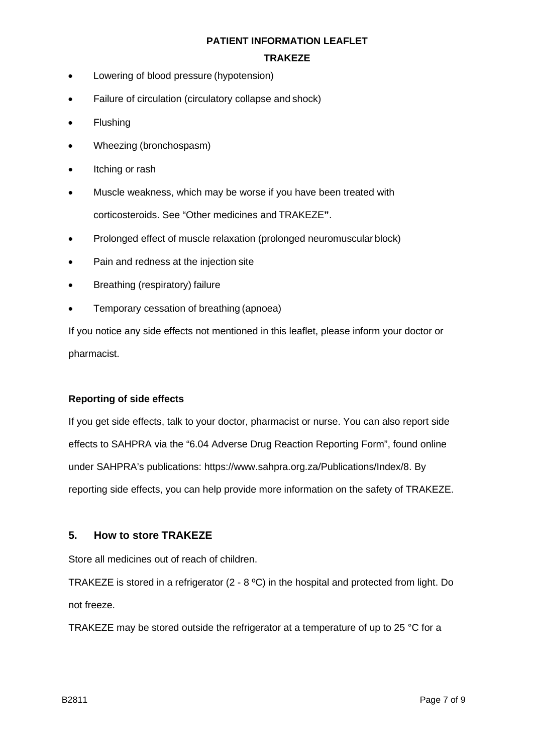#### **TRAKEZE**

- Lowering of blood pressure (hypotension)
- Failure of circulation (circulatory collapse and shock)
- Flushing
- Wheezing (bronchospasm)
- Itching or rash
- Muscle weakness, which may be worse if you have been treated with corticosteroids. See "Other medicines and TRAKEZE**"**.
- Prolonged effect of muscle relaxation (prolonged neuromuscular block)
- Pain and redness at the injection site
- Breathing (respiratory) failure
- Temporary cessation of breathing (apnoea)

If you notice any side effects not mentioned in this leaflet, please inform your doctor or pharmacist.

#### **Reporting of side effects**

If you get side effects, talk to your doctor, pharmacist or nurse. You can also report side effects to SAHPRA via the "6.04 Adverse Drug Reaction Reporting Form", found online under SAHPRA's publications: https:/[/www.sahpra.org.za/Publications/Index/8.](http://www.sahpra.org.za/Publications/Index/8) By reporting side effects, you can help provide more information on the safety of TRAKEZE.

#### **5. How to store TRAKEZE**

Store all medicines out of reach of children.

TRAKEZE is stored in a refrigerator (2 - 8 ºC) in the hospital and protected from light. Do not freeze.

TRAKEZE may be stored outside the refrigerator at a temperature of up to 25 °C for a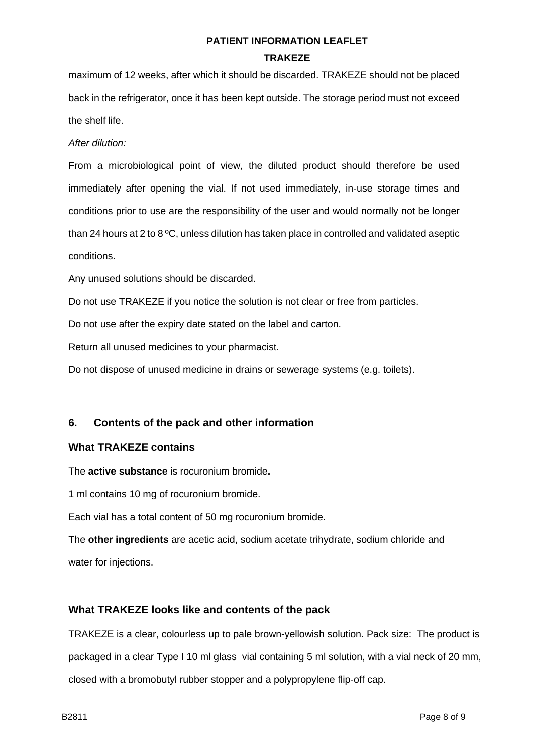# **PATIENT INFORMATION LEAFLET TRAKEZE**

maximum of 12 weeks, after which it should be discarded. TRAKEZE should not be placed back in the refrigerator, once it has been kept outside. The storage period must not exceed the shelf life.

*After dilution:*

From a microbiological point of view, the diluted product should therefore be used immediately after opening the vial. If not used immediately, in-use storage times and conditions prior to use are the responsibility of the user and would normally not be longer than 24 hours at 2 to 8 ºC, unless dilution has taken place in controlled and validated aseptic conditions.

Any unused solutions should be discarded.

Do not use TRAKEZE if you notice the solution is not clear or free from particles.

Do not use after the expiry date stated on the label and carton.

Return all unused medicines to your pharmacist.

Do not dispose of unused medicine in drains or sewerage systems (e.g. toilets).

#### **6. Contents of the pack and other information**

#### **What TRAKEZE contains**

The **active substance** is rocuronium bromide**.** 

1 ml contains 10 mg of rocuronium bromide.

Each vial has a total content of 50 mg rocuronium bromide.

The **other ingredients** are acetic acid, sodium acetate trihydrate, sodium chloride and water for injections.

#### **What TRAKEZE looks like and contents of the pack**

TRAKEZE is a clear, colourless up to pale brown-yellowish solution. Pack size: The product is packaged in a clear Type I 10 ml glass vial containing 5 ml solution, with a vial neck of 20 mm, closed with a bromobutyl rubber stopper and a polypropylene flip-off cap.